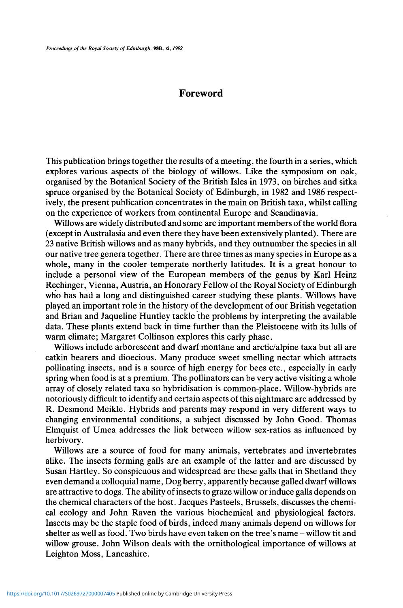## Foreword

This publication brings together the results of a meeting, the fourth in a series, which explores various aspects of the biology of willows. Like the symposium on oak, organised by the Botanical Society of the British Isles in 1973, on birches and sitka spruce organised by the Botanical Society of Edinburgh, in 1982 and 1986 respectively, the present publication concentrates in the main on British taxa, whilst calling on the experience of workers from continental Europe and Scandinavia.

Willows are widely distributed and some are important members of the world flora (except in Australasia and even there they have been extensively planted). There are 23 native British willows and as many hybrids, and they outnumber the species in all our native tree genera together. There are three times as many species in Europe as a whole, many in the cooler temperate northerly latitudes. It is a great honour to include a personal view of the European members of the genus by Karl Heinz Rechinger, Vienna, Austria, an Honorary Fellow of the Royal Society of Edinburgh who has had a long and distinguished career studying these plants. Willows have played an important role in the history of the development of our British vegetation and Brian and Jaqueline Huntley tackle the problems by interpreting the available data. These plants extend back in time further than the Pleistocene with its lulls of warm climate; Margaret Collinson explores this early phase.

Willows include arborescent and dwarf montane and arctic/alpine taxa but all are catkin bearers and dioecious. Many produce sweet smelling nectar which attracts pollinating insects, and is a source of high energy for bees etc., especially in early spring when food is at a premium. The pollinators can be very active visiting a whole array of closely related taxa so hybridisation is common-place. Willow-hybrids are notoriously difficult to identify and certain aspects of this nightmare are addressed by R. Desmond Meikle. Hybrids and parents may respond in very different ways to changing environmental conditions, a subject discussed by John Good. Thomas Elmquist of Umea addresses the link between willow sex-ratios as influenced by herbivory.

Willows are a source of food for many animals, vertebrates and invertebrates alike. The insects forming galls are an example of the latter and are discussed by Susan Hartley. So conspicuous and widespread are these galls that in Shetland they even demand a colloquial name, Dog berry, apparently because galled dwarf willows are attractive to dogs. The ability of insects to graze willow or induce galls depends on the chemical characters of the host. Jacques Pasteels, Brussels, discusses the chemical ecology and John Raven the various biochemical and physiological factors. Insects may be the staple food of birds, indeed many animals depend on willows for shelter as well as food. Two birds have even taken on the tree's name - willow tit and willow grouse. John Wilson deals with the ornithological importance of willows at Leighton Moss, Lancashire.